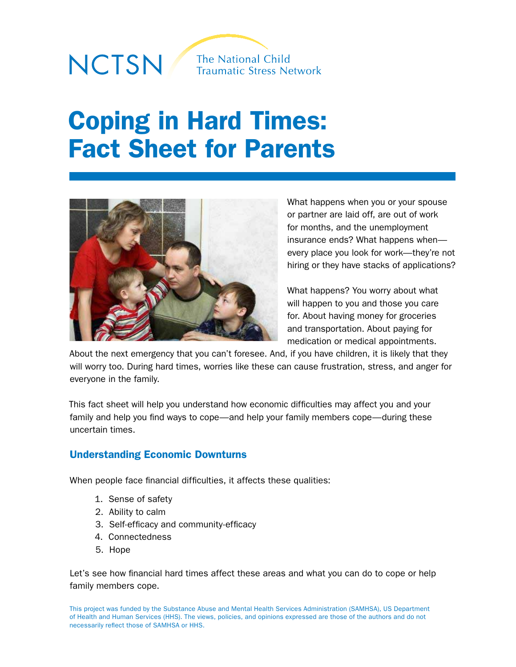# NCTSN

**The National Child Traumatic Stress Network** 

# Coping in Hard Times: Fact Sheet for Parents



What happens when you or your spouse or partner are laid off, are out of work for months, and the unemployment insurance ends? What happens when every place you look for work—they're not hiring or they have stacks of applications?

What happens? You worry about what will happen to you and those you care for. About having money for groceries and transportation. About paying for medication or medical appointments.

About the next emergency that you can't foresee. And, if you have children, it is likely that they will worry too. During hard times, worries like these can cause frustration, stress, and anger for everyone in the family.

This fact sheet will help you understand how economic difficulties may affect you and your family and help you find ways to cope—and help your family members cope—during these uncertain times.

# Understanding Economic Downturns

When people face financial difficulties, it affects these qualities:

- 1. Sense of safety
- 2. Ability to calm
- 3. Self-efficacy and community-efficacy
- 4. Connectedness
- 5. Hope

Let's see how financial hard times affect these areas and what you can do to cope or help family members cope.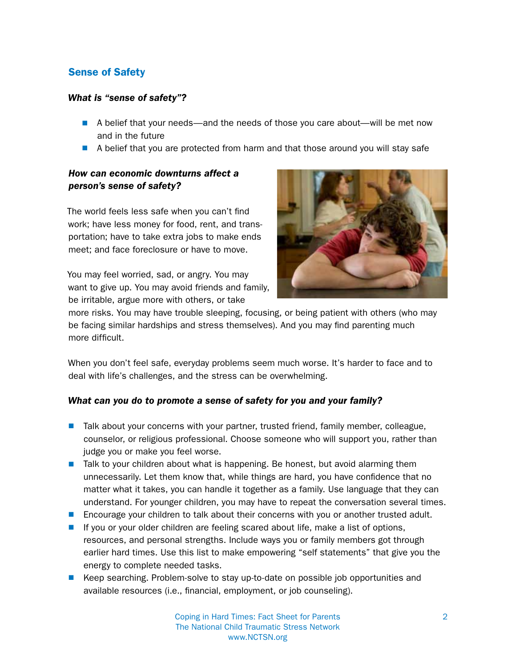# Sense of Safety

#### *What is "sense of safety"?*

- A belief that your needs—and the needs of those you care about—will be met now and in the future
- A belief that you are protected from harm and that those around you will stay safe

# *How can economic downturns affect a person's sense of safety?*

The world feels less safe when you can't find work; have less money for food, rent, and transportation; have to take extra jobs to make ends meet; and face foreclosure or have to move.

You may feel worried, sad, or angry. You may want to give up. You may avoid friends and family, be irritable, argue more with others, or take



more risks. You may have trouble sleeping, focusing, or being patient with others (who may be facing similar hardships and stress themselves). And you may find parenting much more difficult.

When you don't feel safe, everyday problems seem much worse. It's harder to face and to deal with life's challenges, and the stress can be overwhelming.

#### *What can you do to promote a sense of safety for you and your family?*

- $\blacksquare$  Talk about your concerns with your partner, trusted friend, family member, colleague, counselor, or religious professional. Choose someone who will support you, rather than judge you or make you feel worse.
- $\blacksquare$  Talk to your children about what is happening. Be honest, but avoid alarming them unnecessarily. Let them know that, while things are hard, you have confidence that no matter what it takes, you can handle it together as a family. Use language that they can understand. For younger children, you may have to repeat the conversation several times.
- **n** Encourage your children to talk about their concerns with you or another trusted adult.
- **n** If you or your older children are feeling scared about life, make a list of options, resources, and personal strengths. Include ways you or family members got through earlier hard times. Use this list to make empowering "self statements" that give you the energy to complete needed tasks.
- **E** Keep searching. Problem-solve to stay up-to-date on possible job opportunities and available resources (i.e., financial, employment, or job counseling).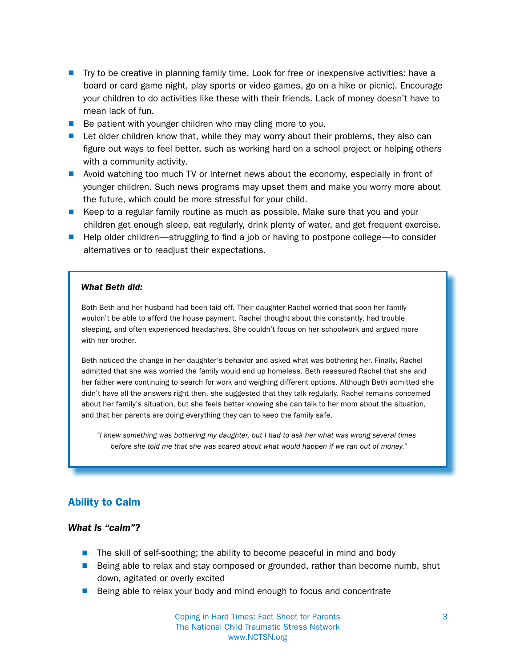- **n** Try to be creative in planning family time. Look for free or inexpensive activities: have a board or card game night, play sports or video games, go on a hike or picnic). Encourage your children to do activities like these with their friends. Lack of money doesn't have to mean lack of fun.
- $\blacksquare$  Be patient with younger children who may cling more to you.
- $\blacksquare$  Let older children know that, while they may worry about their problems, they also can figure out ways to feel better, such as working hard on a school project or helping others with a community activity.
- **n** Avoid watching too much TV or Internet news about the economy, especially in front of younger children. Such news programs may upset them and make you worry more about the future, which could be more stressful for your child.
- Keep to a regular family routine as much as possible. Make sure that you and your children get enough sleep, eat regularly, drink plenty of water, and get frequent exercise.
- Help older children—struggling to find a job or having to postpone college—to consider alternatives or to readjust their expectations.

#### *What Beth did:*

Both Beth and her husband had been laid off. Their daughter Rachel worried that soon her family wouldn't be able to afford the house payment. Rachel thought about this constantly, had trouble sleeping, and often experienced headaches. She couldn't focus on her schoolwork and argued more with her brother.

Beth noticed the change in her daughter's behavior and asked what was bothering her. Finally, Rachel admitted that she was worried the family would end up homeless. Beth reassured Rachel that she and her father were continuing to search for work and weighing different options. Although Beth admitted she didn't have all the answers right then, she suggested that they talk regularly. Rachel remains concerned about her family's situation, but she feels better knowing she can talk to her mom about the situation, and that her parents are doing everything they can to keep the family safe.

*"I knew something was bothering my daughter, but I had to ask her what was wrong several times before she told me that she was scared about what would happen if we ran out of money."* 

#### Ability to Calm

#### *What is "calm"?*

- $\blacksquare$  The skill of self-soothing; the ability to become peaceful in mind and body
- **E** Being able to relax and stay composed or grounded, rather than become numb, shut down, agitated or overly excited
- $\blacksquare$  Being able to relax your body and mind enough to focus and concentrate

Coping in Hard Times: Fact Sheet for Parents 3 The National Child Traumatic Stress Network www.NCTSN.org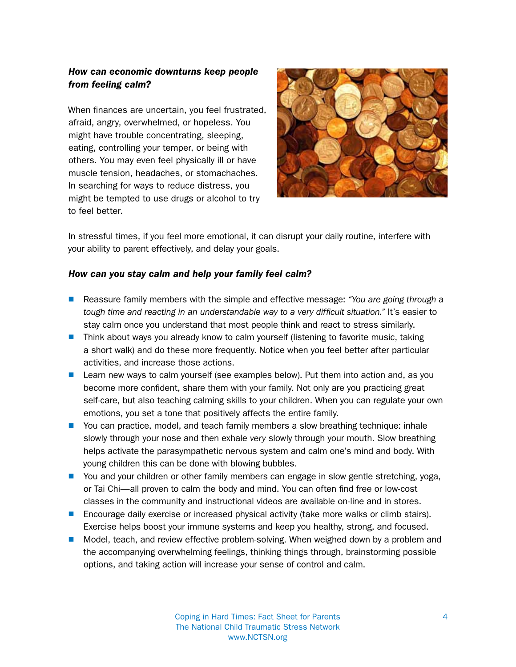# *How can economic downturns keep people from feeling calm?*

When finances are uncertain, you feel frustrated, afraid, angry, overwhelmed, or hopeless. You might have trouble concentrating, sleeping, eating, controlling your temper, or being with others. You may even feel physically ill or have muscle tension, headaches, or stomachaches. In searching for ways to reduce distress, you might be tempted to use drugs or alcohol to try to feel better.



In stressful times, if you feel more emotional, it can disrupt your daily routine, interfere with your ability to parent effectively, and delay your goals.

# *How can you stay calm and help your family feel calm?*

- Reassure family members with the simple and effective message: *"You are going through a tough time and reacting in an understandable way to a very difficult situation."* It's easier to stay calm once you understand that most people think and react to stress similarly.
- **n** Think about ways you already know to calm yourself (listening to favorite music, taking a short walk) and do these more frequently. Notice when you feel better after particular activities, and increase those actions.
- $\blacksquare$  Learn new ways to calm yourself (see examples below). Put them into action and, as you become more confident, share them with your family. Not only are you practicing great self-care, but also teaching calming skills to your children. When you can regulate your own emotions, you set a tone that positively affects the entire family.
- You can practice, model, and teach family members a slow breathing technique: inhale slowly through your nose and then exhale *very* slowly through your mouth. Slow breathing helps activate the parasympathetic nervous system and calm one's mind and body. With young children this can be done with blowing bubbles.
- **n** You and your children or other family members can engage in slow gentle stretching, yoga, or Tai Chi—all proven to calm the body and mind. You can often find free or low-cost classes in the community and instructional videos are available on-line and in stores.
- Encourage daily exercise or increased physical activity (take more walks or climb stairs). Exercise helps boost your immune systems and keep you healthy, strong, and focused.
- **n** Model, teach, and review effective problem-solving. When weighed down by a problem and the accompanying overwhelming feelings, thinking things through, brainstorming possible options, and taking action will increase your sense of control and calm.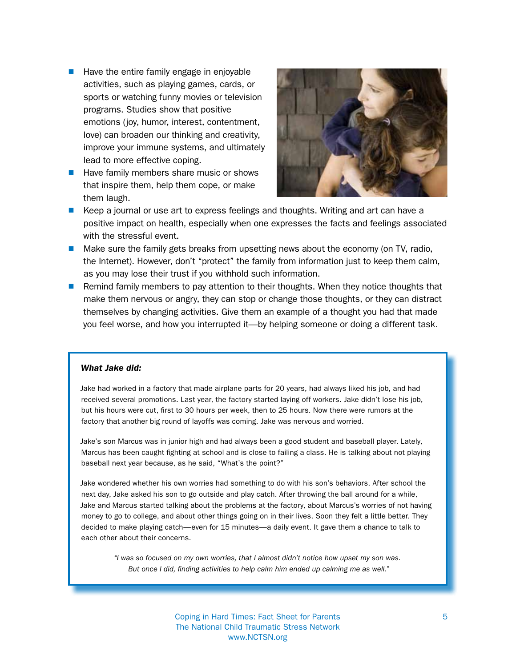- $\blacksquare$  Have the entire family engage in enjoyable activities, such as playing games, cards, or sports or watching funny movies or television programs. Studies show that positive emotions (joy, humor, interest, contentment, love) can broaden our thinking and creativity, improve your immune systems, and ultimately lead to more effective coping.
- $\blacksquare$  Have family members share music or shows that inspire them, help them cope, or make them laugh.



- **E** Keep a journal or use art to express feelings and thoughts. Writing and art can have a positive impact on health, especially when one expresses the facts and feelings associated with the stressful event.
- $\blacksquare$  Make sure the family gets breaks from upsetting news about the economy (on TV, radio, the Internet). However, don't "protect" the family from information just to keep them calm, as you may lose their trust if you withhold such information.
- **n** Remind family members to pay attention to their thoughts. When they notice thoughts that make them nervous or angry, they can stop or change those thoughts, or they can distract themselves by changing activities. Give them an example of a thought you had that made you feel worse, and how you interrupted it—by helping someone or doing a different task.

#### *What Jake did:*

Jake had worked in a factory that made airplane parts for 20 years, had always liked his job, and had received several promotions. Last year, the factory started laying off workers. Jake didn't lose his job, but his hours were cut, first to 30 hours per week, then to 25 hours. Now there were rumors at the factory that another big round of layoffs was coming. Jake was nervous and worried.

Jake's son Marcus was in junior high and had always been a good student and baseball player. Lately, Marcus has been caught fighting at school and is close to failing a class. He is talking about not playing baseball next year because, as he said, "What's the point?"

Jake wondered whether his own worries had something to do with his son's behaviors. After school the next day, Jake asked his son to go outside and play catch. After throwing the ball around for a while, Jake and Marcus started talking about the problems at the factory, about Marcus's worries of not having money to go to college, and about other things going on in their lives. Soon they felt a little better. They decided to make playing catch—even for 15 minutes—a daily event. It gave them a chance to talk to each other about their concerns.

*"I was so focused on my own worries, that I almost didn't notice how upset my son was. But once I did, finding activities to help calm him ended up calming me as well."*

> Coping in Hard Times: Fact Sheet for Parents 5 The National Child Traumatic Stress Network www.NCTSN.org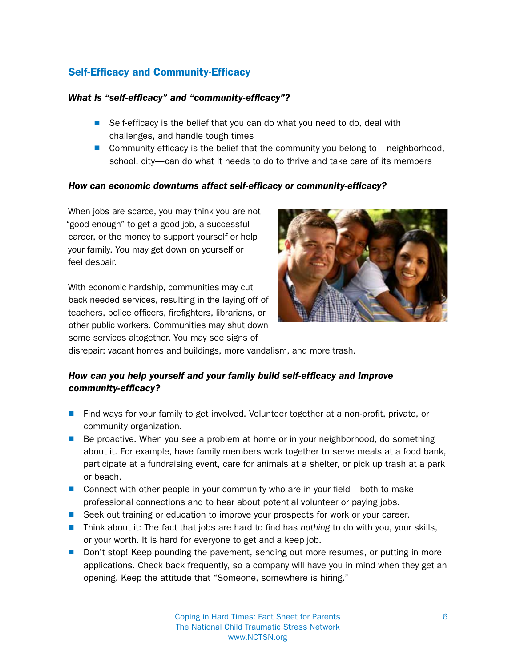# Self-Efficacy and Community-Efficacy

# *What is "self-efficacy" and "community-efficacy"?*

- $\blacksquare$  Self-efficacy is the belief that you can do what you need to do, deal with challenges, and handle tough times
- **n** Community-efficacy is the belief that the community you belong to—neighborhood, school, city—can do what it needs to do to thrive and take care of its members

#### *How can economic downturns affect self-efficacy or community-efficacy?*

When jobs are scarce, you may think you are not "good enough" to get a good job, a successful career, or the money to support yourself or help your family. You may get down on yourself or feel despair.

With economic hardship, communities may cut back needed services, resulting in the laying off of teachers, police officers, firefighters, librarians, or other public workers. Communities may shut down some services altogether. You may see signs of



disrepair: vacant homes and buildings, more vandalism, and more trash.

# *How can you help yourself and your family build self-efficacy and improve community-efficacy?*

- **n** Find ways for your family to get involved. Volunteer together at a non-profit, private, or community organization.
- $\blacksquare$  Be proactive. When you see a problem at home or in your neighborhood, do something about it. For example, have family members work together to serve meals at a food bank, participate at a fundraising event, care for animals at a shelter, or pick up trash at a park or beach.
- **n** Connect with other people in your community who are in your field—both to make professional connections and to hear about potential volunteer or paying jobs.
- **E** Seek out training or education to improve your prospects for work or your career.
- Think about it: The fact that jobs are hard to find has *nothing* to do with you, your skills, or your worth. It is hard for everyone to get and a keep job.
- **Don't stop! Keep pounding the pavement, sending out more resumes, or putting in more** applications. Check back frequently, so a company will have you in mind when they get an opening. Keep the attitude that "Someone, somewhere is hiring."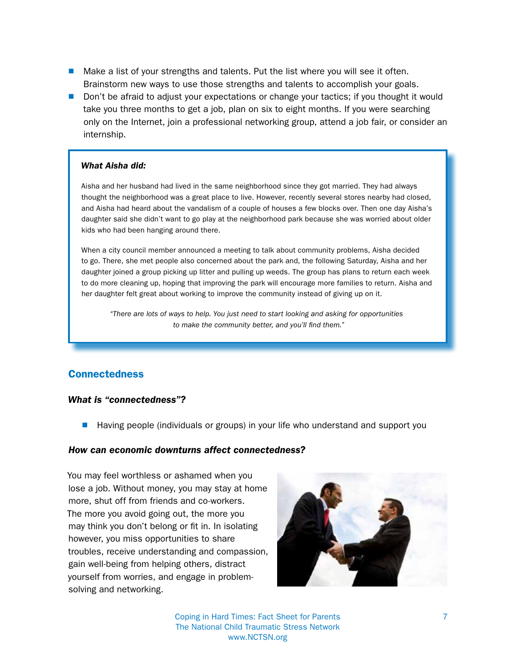- $\blacksquare$  Make a list of your strengths and talents. Put the list where you will see it often. Brainstorm new ways to use those strengths and talents to accomplish your goals.
- Don't be afraid to adjust your expectations or change your tactics; if you thought it would take you three months to get a job, plan on six to eight months. If you were searching only on the Internet, join a professional networking group, attend a job fair, or consider an internship.

#### *What Aisha did:*

Aisha and her husband had lived in the same neighborhood since they got married. They had always thought the neighborhood was a great place to live. However, recently several stores nearby had closed, and Aisha had heard about the vandalism of a couple of houses a few blocks over. Then one day Aisha's daughter said she didn't want to go play at the neighborhood park because she was worried about older kids who had been hanging around there.

When a city council member announced a meeting to talk about community problems, Aisha decided to go. There, she met people also concerned about the park and, the following Saturday, Aisha and her daughter joined a group picking up litter and pulling up weeds. The group has plans to return each week to do more cleaning up, hoping that improving the park will encourage more families to return. Aisha and her daughter felt great about working to improve the community instead of giving up on it.

*"There are lots of ways to help. You just need to start looking and asking for opportunities to make the community better, and you'll find them."*

#### **Connectedness**

#### *What is "connectedness"?*

**n** Having people (individuals or groups) in your life who understand and support you

#### *How can economic downturns affect connectedness?*

You may feel worthless or ashamed when you lose a job. Without money, you may stay at home more, shut off from friends and co-workers. The more you avoid going out, the more you may think you don't belong or fit in. In isolating however, you miss opportunities to share troubles, receive understanding and compassion, gain well-being from helping others, distract yourself from worries, and engage in problemsolving and networking.



Coping in Hard Times: Fact Sheet for Parents 7 The National Child Traumatic Stress Network www.NCTSN.org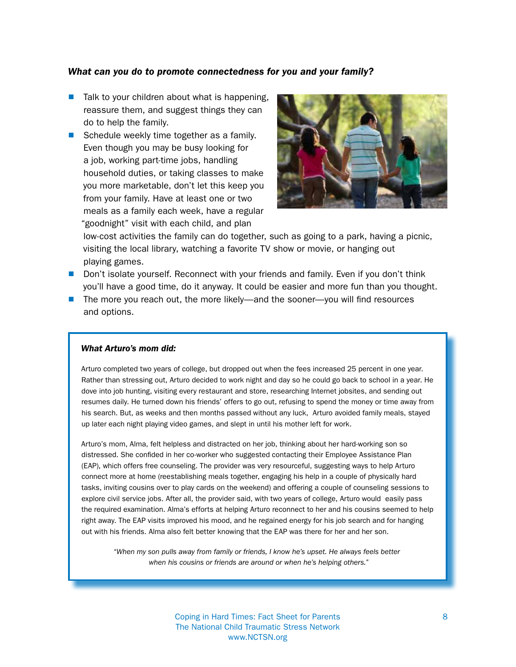#### *What can you do to promote connectedness for you and your family?*

- $\blacksquare$  Talk to your children about what is happening, reassure them, and suggest things they can do to help the family.
- Schedule weekly time together as a family. Even though you may be busy looking for a job, working part-time jobs, handling household duties, or taking classes to make you more marketable, don't let this keep you from your family. Have at least one or two meals as a family each week, have a regular "goodnight" visit with each child, and plan



low-cost activities the family can do together, such as going to a park, having a picnic, visiting the local library, watching a favorite TV show or movie, or hanging out playing games.

- **Don't isolate yourself. Reconnect with your friends and family. Even if you don't think** you'll have a good time, do it anyway. It could be easier and more fun than you thought.
- $\blacksquare$  The more you reach out, the more likely—and the sooner—you will find resources and options.

#### *What Arturo's mom did:*

Arturo completed two years of college, but dropped out when the fees increased 25 percent in one year. Rather than stressing out, Arturo decided to work night and day so he could go back to school in a year. He dove into job hunting, visiting every restaurant and store, researching Internet jobsites, and sending out resumes daily. He turned down his friends' offers to go out, refusing to spend the money or time away from his search. But, as weeks and then months passed without any luck, Arturo avoided family meals, stayed up later each night playing video games, and slept in until his mother left for work.

Arturo's mom, Alma, felt helpless and distracted on her job, thinking about her hard-working son so distressed. She confided in her co-worker who suggested contacting their Employee Assistance Plan (EAP), which offers free counseling. The provider was very resourceful, suggesting ways to help Arturo connect more at home (reestablishing meals together, engaging his help in a couple of physically hard tasks, inviting cousins over to play cards on the weekend) and offering a couple of counseling sessions to explore civil service jobs. After all, the provider said, with two years of college, Arturo would easily pass the required examination. Alma's efforts at helping Arturo reconnect to her and his cousins seemed to help right away. The EAP visits improved his mood, and he regained energy for his job search and for hanging out with his friends. Alma also felt better knowing that the EAP was there for her and her son.

*"When my son pulls away from family or friends, I know he's upset. He always feels better when his cousins or friends are around or when he's helping others."* 

> Coping in Hard Times: Fact Sheet for Parents 8 The National Child Traumatic Stress Network www.NCTSN.org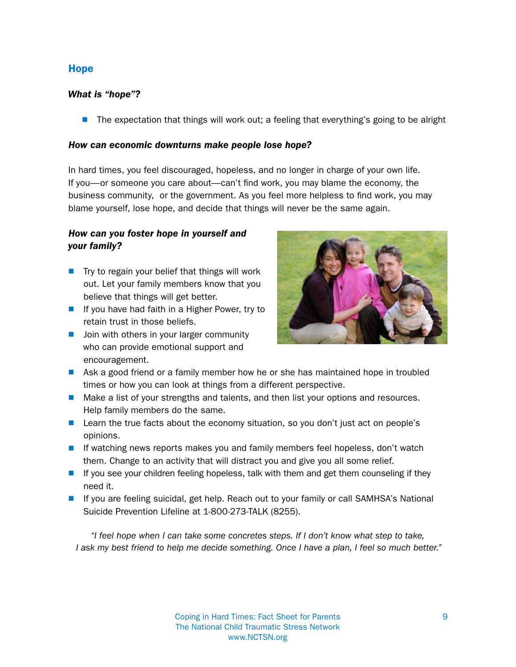# Hope

#### *What is "hope"?*

 $\blacksquare$  The expectation that things will work out; a feeling that everything's going to be alright

#### *How can economic downturns make people lose hope?*

In hard times, you feel discouraged, hopeless, and no longer in charge of your own life. If you—or someone you care about—can't find work, you may blame the economy, the business community, or the government. As you feel more helpless to find work, you may blame yourself, lose hope, and decide that things will never be the same again.

# *How can you foster hope in yourself and your family?*

- $\blacksquare$  Try to regain your belief that things will work out. Let your family members know that you believe that things will get better.
- $\blacksquare$  If you have had faith in a Higher Power, try to retain trust in those beliefs.
- $\blacksquare$  Join with others in your larger community who can provide emotional support and encouragement.



- $\blacksquare$  Ask a good friend or a family member how he or she has maintained hope in troubled times or how you can look at things from a different perspective.
- **n** Make a list of your strengths and talents, and then list your options and resources. Help family members do the same.
- **E** Learn the true facts about the economy situation, so you don't just act on people's opinions.
- $\blacksquare$  If watching news reports makes you and family members feel hopeless, don't watch them. Change to an activity that will distract you and give you all some relief.
- $\blacksquare$  If you see your children feeling hopeless, talk with them and get them counseling if they need it.
- **n** If you are feeling suicidal, get help. Reach out to your family or call SAMHSA's National Suicide Prevention Lifeline at 1-800-273-TALK (8255).

*"I feel hope when I can take some concretes steps. If I don't know what step to take, I ask my best friend to help me decide something. Once I have a plan, I feel so much better."*